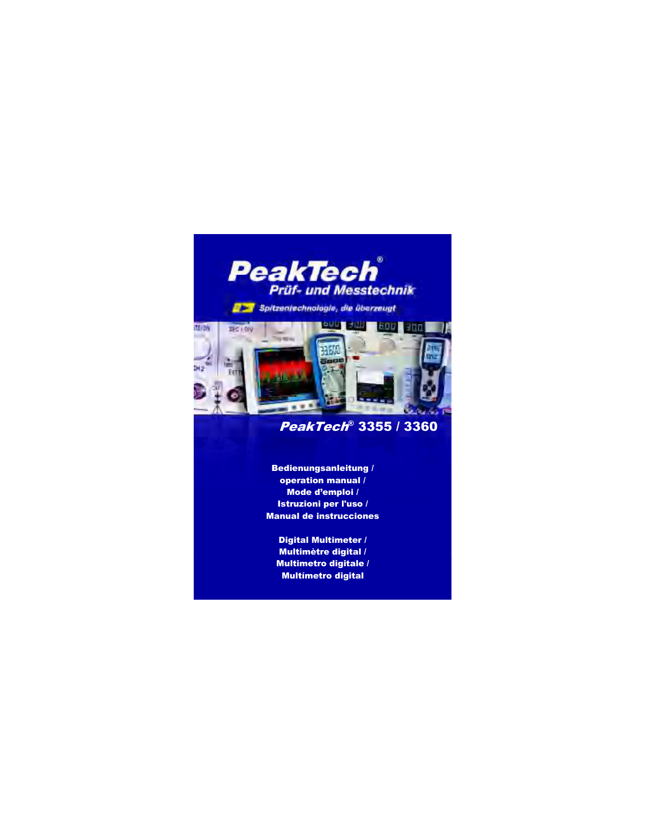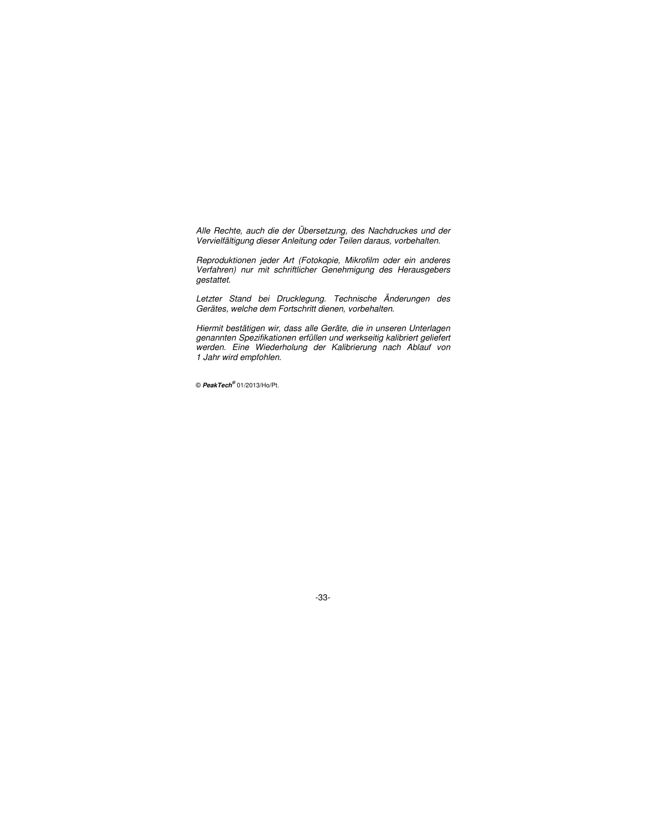Alle Rechte, auch die der Übersetzung, des Nachdruckes und der Vervielfältigung dieser Anleitung oder Teilen daraus, vorbehalten.

Reproduktionen jeder Art (Fotokopie, Mikrofilm oder ein anderes Verfahren) nur mit schriftlicher Genehmigung des Herausgebers gestattet.

Letzter Stand bei Drucklegung. Technische Änderungen des Gerätes, welche dem Fortschritt dienen, vorbehalten.

Hiermit bestätigen wir, dass alle Geräte, die in unseren Unterlagen genannten Spezifikationen erfüllen und werkseitig kalibriert geliefert werden. Eine Wiederholung der Kalibrierung nach Ablauf von 1 Jahr wird empfohlen.

© **PeakTech®** 01/2013/Ho/Pt.

-33-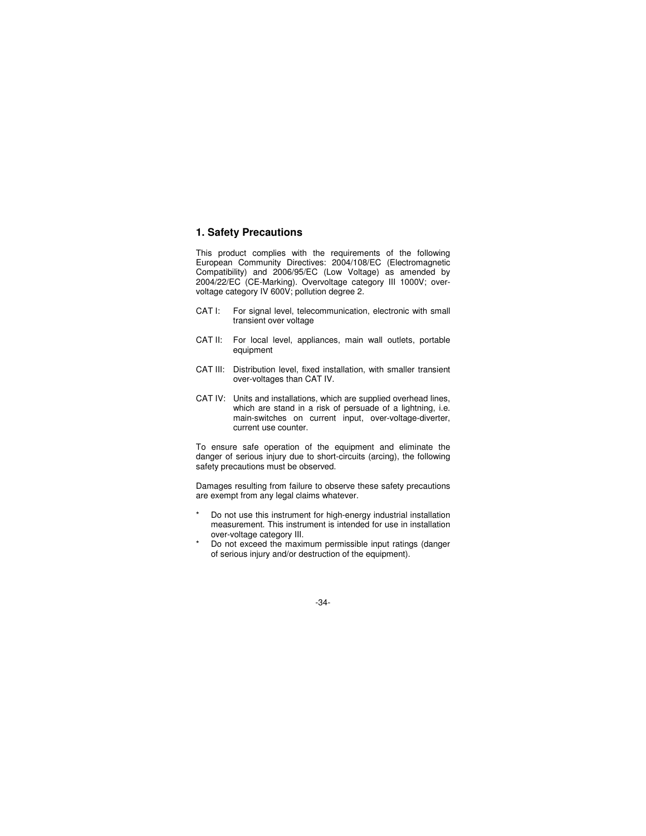# **1. Safety Precautions**

This product complies with the requirements of the following European Community Directives: 2004/108/EC (Electromagnetic Compatibility) and 2006/95/EC (Low Voltage) as amended by 2004/22/EC (CE-Marking). Overvoltage category III 1000V; overvoltage category IV 600V; pollution degree 2.

- CAT I: For signal level, telecommunication, electronic with small transient over voltage
- CAT II: For local level, appliances, main wall outlets, portable equipment
- CAT III: Distribution level, fixed installation, with smaller transient over-voltages than CAT IV.
- CAT IV: Units and installations, which are supplied overhead lines, which are stand in a risk of persuade of a lightning, i.e. main-switches on current input, over-voltage-diverter, current use counter.

To ensure safe operation of the equipment and eliminate the danger of serious injury due to short-circuits (arcing), the following safety precautions must be observed.

Damages resulting from failure to observe these safety precautions are exempt from any legal claims whatever.

- Do not use this instrument for high-energy industrial installation measurement. This instrument is intended for use in installation over-voltage category III.
- \* Do not exceed the maximum permissible input ratings (danger of serious injury and/or destruction of the equipment).

-34-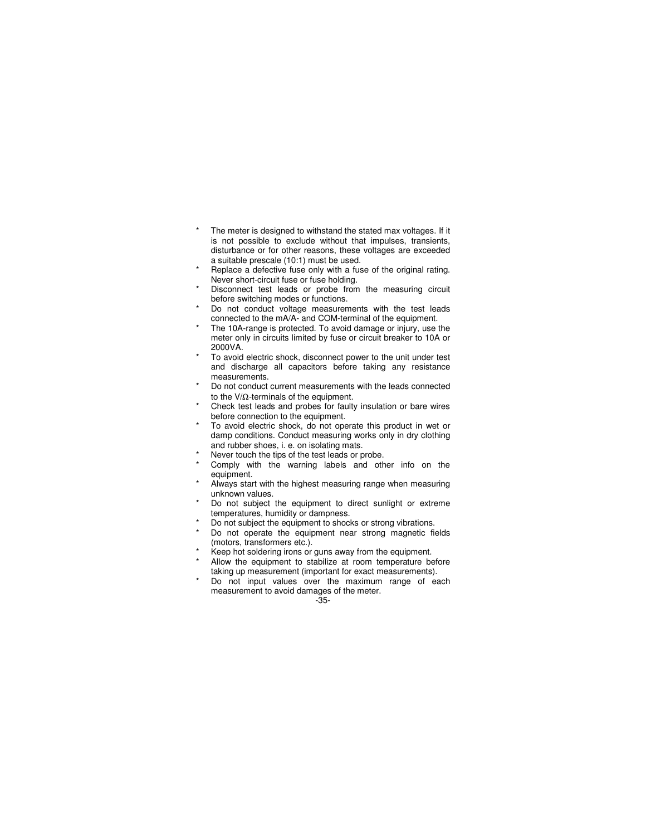- \* The meter is designed to withstand the stated max voltages. If it is not possible to exclude without that impulses, transients, disturbance or for other reasons, these voltages are exceeded a suitable prescale (10:1) must be used.
- Replace a defective fuse only with a fuse of the original rating. Never short-circuit fuse or fuse holding.
- Disconnect test leads or probe from the measuring circuit before switching modes or functions.
- Do not conduct voltage measurements with the test leads connected to the mA/A- and COM-terminal of the equipment.
- The 10A-range is protected. To avoid damage or injury, use the meter only in circuits limited by fuse or circuit breaker to 10A or 2000VA.
- To avoid electric shock, disconnect power to the unit under test and discharge all capacitors before taking any resistance measurements.
- Do not conduct current measurements with the leads connected to the V/Ω-terminals of the equipment.
- Check test leads and probes for faulty insulation or bare wires before connection to the equipment.
- To avoid electric shock, do not operate this product in wet or damp conditions. Conduct measuring works only in dry clothing and rubber shoes, i. e. on isolating mats.
- Never touch the tips of the test leads or probe.
- Comply with the warning labels and other info on the equipment.
- Always start with the highest measuring range when measuring unknown values.
- Do not subject the equipment to direct sunlight or extreme temperatures, humidity or dampness.
- Do not subject the equipment to shocks or strong vibrations.
- Do not operate the equipment near strong magnetic fields (motors, transformers etc.).
- Keep hot soldering irons or guns away from the equipment.
- Allow the equipment to stabilize at room temperature before taking up measurement (important for exact measurements).
- Do not input values over the maximum range of each measurement to avoid damages of the meter.

<sup>-35-</sup>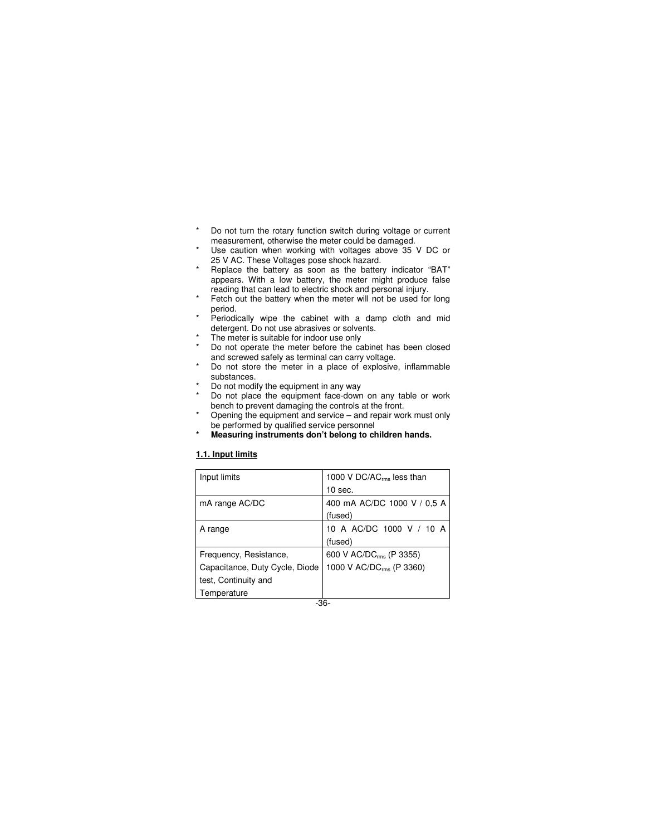- \* Do not turn the rotary function switch during voltage or current measurement, otherwise the meter could be damaged.
- Use caution when working with voltages above 35 V DC or 25 V AC. These Voltages pose shock hazard.
- \* Replace the battery as soon as the battery indicator "BAT" appears. With a low battery, the meter might produce false reading that can lead to electric shock and personal injury.
- Fetch out the battery when the meter will not be used for long period.
- Periodically wipe the cabinet with a damp cloth and mid detergent. Do not use abrasives or solvents.
- The meter is suitable for indoor use only
- Do not operate the meter before the cabinet has been closed and screwed safely as terminal can carry voltage.
- Do not store the meter in a place of explosive, inflammable substances.
- Do not modify the equipment in any way
- Do not place the equipment face-down on any table or work bench to prevent damaging the controls at the front.
- Opening the equipment and service and repair work must only be performed by qualified service personnel
- **\* Measuring instruments don't belong to children hands.**

# **1.1. Input limits**

| Input limits                   | 1000 V DC/AC <sub>rms</sub> less than |
|--------------------------------|---------------------------------------|
|                                | $10$ sec.                             |
| mA range AC/DC                 | 400 mA AC/DC 1000 V / 0.5 A           |
|                                | (fused)                               |
| A range                        | 10 A AC/DC 1000 V / 10 A              |
|                                | (fused)                               |
| Frequency, Resistance,         | 600 V AC/DC <sub>rms</sub> (P 3355)   |
| Capacitance, Duty Cycle, Diode | 1000 V AC/DC <sub>rms</sub> (P 3360)  |
| test, Continuity and           |                                       |
| Temperature                    |                                       |
|                                | -36-                                  |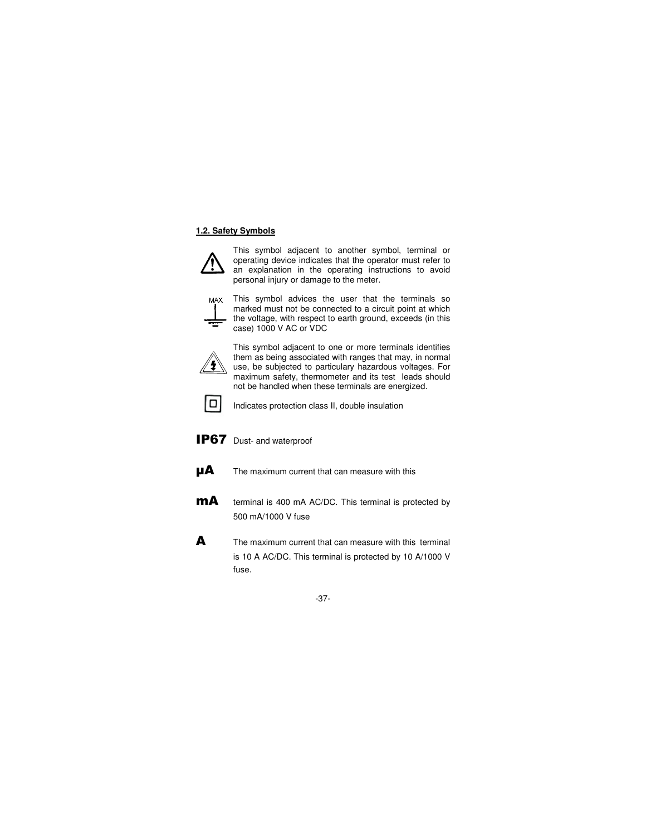## **1.2. Safety Symbols**



This symbol adjacent to another symbol, terminal or operating device indicates that the operator must refer to an explanation in the operating instructions to avoid personal injury or damage to the meter.



This symbol advices the user that the terminals so marked must not be connected to a circuit point at which the voltage, with respect to earth ground, exceeds (in this case) 1000 V AC or VDC



This symbol adjacent to one or more terminals identifies them as being associated with ranges that may, in normal use, be subjected to particulary hazardous voltages. For maximum safety, thermometer and its test leads should not be handled when these terminals are energized.



Indicates protection class II, double insulation

**IP67** Dust- and waterproof

- $\mathbf{\mu}$  The maximum current that can measure with this
- **MA** terminal is 400 mA AC/DC. This terminal is protected by 500 mA/1000 V fuse
- A The maximum current that can measure with this terminal is 10 A AC/DC. This terminal is protected by 10 A/1000 V fuse.

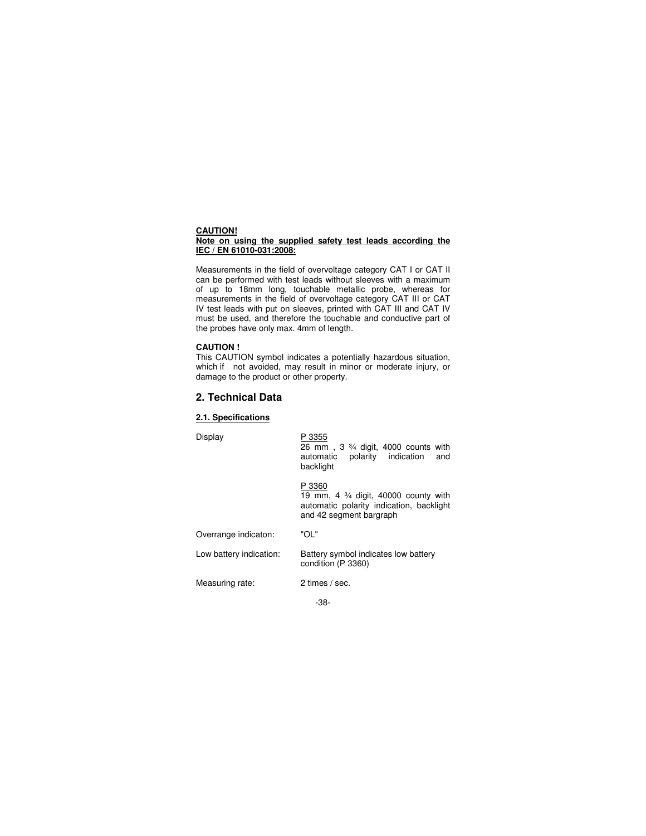#### **CAUTION! Note on using the supplied safety test leads according the IEC / EN 61010-031:2008:**

Measurements in the field of overvoltage category CAT I or CAT II can be performed with test leads without sleeves with a maximum of up to 18mm long, touchable metallic probe, whereas for measurements in the field of overvoltage category CAT III or CAT IV test leads with put on sleeves, printed with CAT III and CAT IV must be used, and therefore the touchable and conductive part of the probes have only max. 4mm of length.

# **CAUTION !**

This CAUTION symbol indicates a potentially hazardous situation, which if not avoided, may result in minor or moderate injury, or damage to the product or other property.

# **2. Technical Data**

#### **2.1. Specifications**

Display P 3355

 26 mm , 3 ¾ digit, 4000 counts with automatic polarity indication and backlight

P 3360

 19 mm, 4 ¾ digit, 40000 county with automatic polarity indication, backlight and 42 segment bargraph

Overrange indicaton: "OL"

Low battery indication: Battery symbol indicates low battery condition (P 3360)

Measuring rate: 2 times / sec.

-38-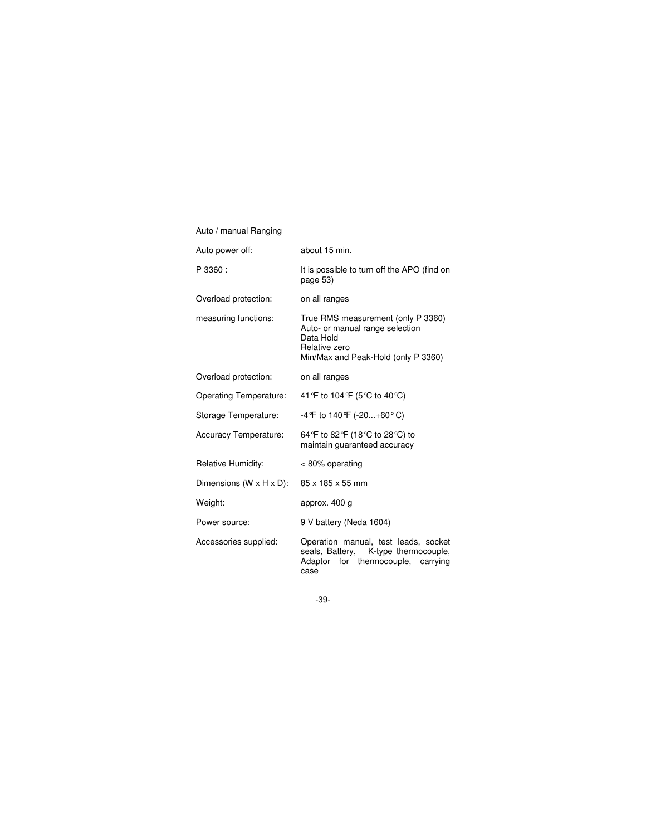| Auto power off:                      | about 15 min.                                                                                                                              |  |
|--------------------------------------|--------------------------------------------------------------------------------------------------------------------------------------------|--|
| P 3360 :                             | It is possible to turn off the APO (find on<br>page 53)                                                                                    |  |
| Overload protection:                 | on all ranges                                                                                                                              |  |
| measuring functions:                 | True RMS measurement (only P 3360)<br>Auto- or manual range selection<br>Data Hold<br>Relative zero<br>Min/Max and Peak-Hold (only P 3360) |  |
| Overload protection:                 | on all ranges                                                                                                                              |  |
| <b>Operating Temperature:</b>        | 41 °F to 104 °F (5 °C to 40 °C)                                                                                                            |  |
| Storage Temperature:                 | -4 °F to 140 °F (-20+60 °C)                                                                                                                |  |
| <b>Accuracy Temperature:</b>         | 64 °F to 82 °F (18 °C to 28 °C) to<br>maintain guaranteed accuracy                                                                         |  |
| Relative Humidity:                   | $< 80\%$ operating                                                                                                                         |  |
| Dimensions $(W \times H \times D)$ : | 85 x 185 x 55 mm                                                                                                                           |  |
| Weight:                              | approx. 400 g                                                                                                                              |  |
| Power source:                        | 9 V battery (Neda 1604)                                                                                                                    |  |
| Accessories supplied:                | Operation manual, test leads, socket<br>seals, Battery, K-type thermocouple,<br>Adaptor for thermocouple, carrying<br>case                 |  |

Auto / manual Ranging

-39-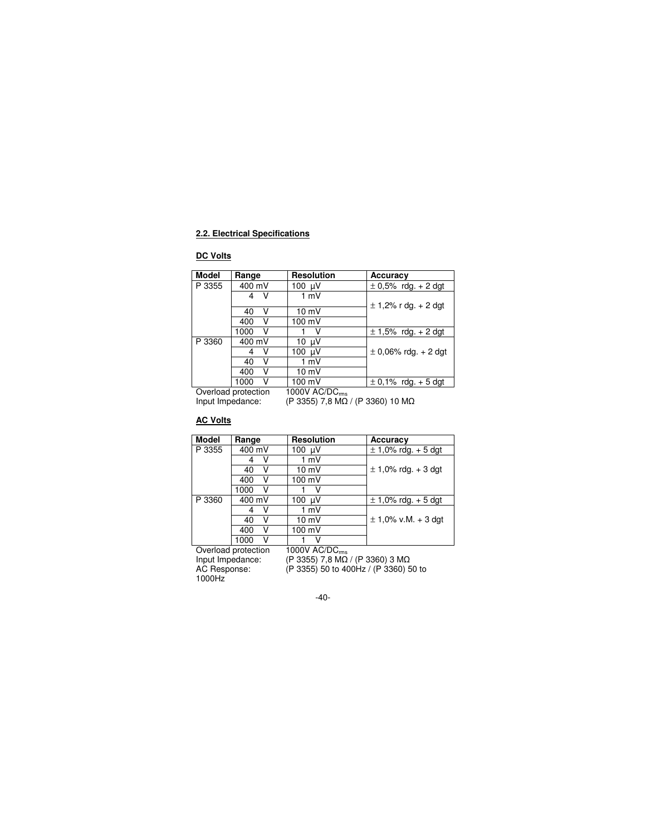# **2.2. Electrical Specifications**

# **DC Volts**

| Model  | Range     | <b>Resolution</b> | Accuracy                 |
|--------|-----------|-------------------|--------------------------|
| P 3355 | 400 mV    | 100 µV            | $\pm$ 0,5% rdg. + 2 dgt  |
|        | v         | 1 mV              |                          |
|        |           |                   | $\pm$ 1,2% r dg. + 2 dgt |
|        | 40<br>v   | $10 \text{ mV}$   |                          |
|        | 400       | 100 mV            |                          |
|        | v<br>1000 |                   | $\pm$ 1,5% rdg. + 2 dgt  |
| P 3360 | 400 mV    | 10 µV             |                          |
|        |           | 100 µV            | $\pm$ 0,06% rdg. + 2 dgt |
|        | 40        | 1 mV              |                          |
|        | 400<br>ν  | 10 mV             |                          |
|        | 1000      | 100 mV            | $\pm$ 0.1% rdg. + 5 dgt  |

Overload protection  $1000V$  AC/DC $_{\rm rms}$ 

Input Impedance:  $($ P 3355 $)$  7,8 M $\Omega$  / (P 3360 $)$  10 M $\Omega$ 

# **AC Volts**

| <b>Model</b> | Range               | <b>Resolution</b>         | Accuracy                |
|--------------|---------------------|---------------------------|-------------------------|
| P 3355       | 400 mV              | 100 µV                    | $\pm$ 1,0% rdg. + 5 dgt |
|              |                     | 1 mV                      |                         |
|              | 40                  | $10 \text{ mV}$           | $\pm$ 1,0% rdg. + 3 dgt |
|              | 400                 | 100 mV                    |                         |
|              | 1000                | v                         |                         |
| P 3360       | 400 mV              | 100<br>uV                 | $\pm$ 1,0% rdg. + 5 dgt |
|              | v                   | 1 mV                      |                         |
|              | v<br>40             | $10 \text{ mV}$           | $\pm$ 1,0% v.M. + 3 dgt |
|              | 400                 | 100 mV                    |                         |
|              | 1000                |                           |                         |
|              | Overload protection | 1000V AC/DC <sub>ms</sub> |                         |

1000Hz

Input Impedance: (P 3355) 7,8 MΩ / (P 3360) 3 MΩ AC Response: (P 3355) 50 to 400Hz / (P 3360) 50 to

-40-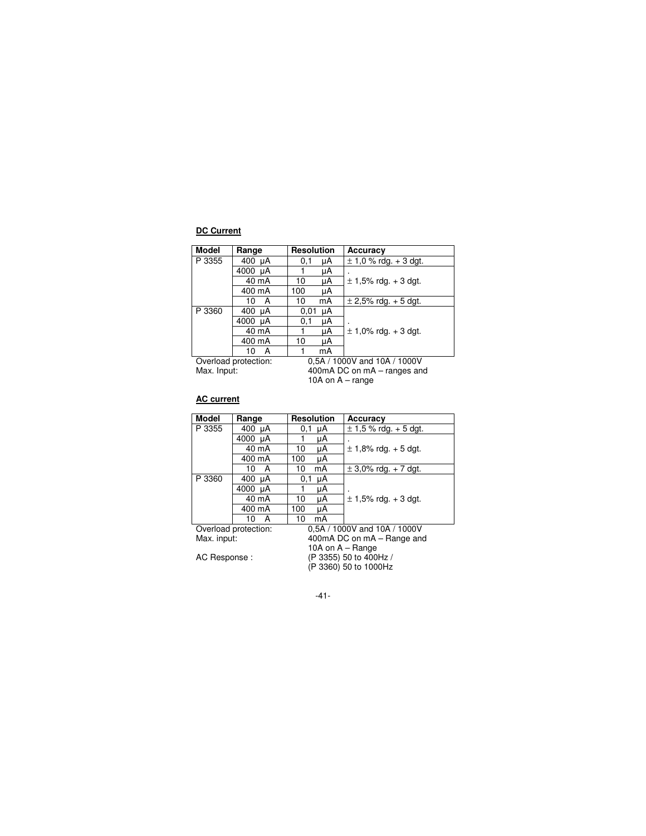# **DC Current**

| <b>Model</b> | Range                | <b>Resolution</b>            |    | Accuracy                  |
|--------------|----------------------|------------------------------|----|---------------------------|
| P 3355       | 400 $\mu$ A          | 0,1                          | μA | $\pm$ 1,0 % rdg. + 3 dgt. |
|              | 4000 µA              |                              | μA |                           |
|              | 40 mA                | 10                           | μA | $\pm$ 1,5% rdg. + 3 dgt.  |
|              | 400 mA               | 100                          | μA |                           |
|              | A<br>10              | 10                           | mA | $\pm$ 2,5% rdg. + 5 dgt.  |
| P 3360       | $400 \mu A$          | 0,01                         | μA |                           |
|              | 4000 µA              | 0,1                          | μA |                           |
|              | 40 mA                |                              | μA | $\pm$ 1,0% rdg. + 3 dgt.  |
|              | 400 mA               | 10                           | μA |                           |
|              | А<br>10              |                              | mA |                           |
|              | Overload protection: | 0.5A / 1000V and 10A / 1000V |    |                           |
| Max. Input:  |                      | 400mA DC on mA – ranges and  |    |                           |
|              |                      | 10A on $A$ – range           |    |                           |

# **AC current**

| <b>Model</b> | Range                | <b>Resolution</b>          | Accuracy                     |  |
|--------------|----------------------|----------------------------|------------------------------|--|
| P 3355       | 400 $\mu$ A          | $0.1 \mu A$                | $\pm$ 1,5 % rdg. + 5 dgt.    |  |
|              | 4000 µA              | μA                         |                              |  |
|              | 40 mA                | 10<br>μA                   | $\pm$ 1,8% rdg. + 5 dgt.     |  |
|              | 400 mA               | 100<br>μA                  |                              |  |
|              | 10<br>A              | 10<br>mA                   | $\pm$ 3,0% rdg. + 7 dgt.     |  |
| P 3360       | 400 µA               | 0,1<br>μA                  |                              |  |
|              | 4000 µA              | μA                         |                              |  |
|              | 40 mA                | 10<br>μA                   | $\pm$ 1.5% rdg. + 3 dgt.     |  |
|              | 400 mA               | 100<br>μA                  |                              |  |
|              | 10<br>А              | 10<br>mA                   |                              |  |
|              | Overload protection: |                            | 0.5A / 1000V and 10A / 1000V |  |
| Max. input:  |                      | 400mA DC on mA - Range and |                              |  |
|              |                      | 10A on $A - Range$         |                              |  |
| AC Response: |                      | (P 3355) 50 to 400Hz /     |                              |  |
|              |                      |                            | (P 3360) 50 to 1000Hz        |  |
|              |                      |                            |                              |  |

-41-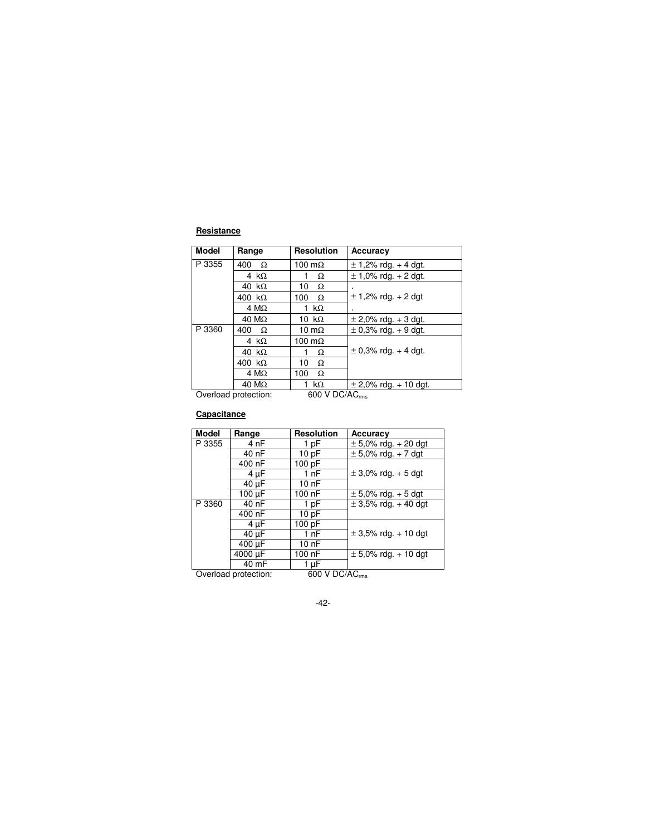# **Resistance**

| <b>Model</b> | Range                | <b>Resolution</b>          | Accuracy                  |
|--------------|----------------------|----------------------------|---------------------------|
| P 3355       | 400<br>Ω             | 100 $m\Omega$              | $\pm$ 1,2% rdg. + 4 dgt.  |
|              | 4 k $\Omega$         | Ω                          | $\pm$ 1.0% rdg. + 2 dgt.  |
|              | 40 k $\Omega$        | 10<br>Ω                    |                           |
|              | 400 $k\Omega$        | 100<br>$\Omega$            | $\pm$ 1,2% rdg. + 2 dgt   |
|              | 4 M $\Omega$         | 1 k $\Omega$               |                           |
|              | $40 \text{ M}\Omega$ | 10 k $\Omega$              | $\pm$ 2,0% rdg. + 3 dgt.  |
| P 3360       | 400<br>$\Omega$      | 10 m $\Omega$              | $\pm$ 0.3% rdg. + 9 dgt.  |
|              | 4 k $\Omega$         | 100 $m\Omega$              |                           |
|              | 40 $k\Omega$         | Ω                          | $\pm$ 0,3% rdg. + 4 dgt.  |
|              | 400 k $\Omega$       | 10<br>Ω                    |                           |
|              | $4 M\Omega$          | 100<br>Ω                   |                           |
|              | $40 M\Omega$         | 1 k $\Omega$               | $\pm$ 2,0% rdg. + 10 dgt. |
|              | Overload protection: | 600 V DC/AC <sub>rms</sub> |                           |

# **Capacitance**

| <b>Model</b>                                       | Range   | <b>Resolution</b> | Accuracy                 |
|----------------------------------------------------|---------|-------------------|--------------------------|
| P 3355                                             | 4 nF    | 1 pF              | $\pm$ 5,0% rdg. + 20 dgt |
|                                                    | 40 nF   | 10pF              | $\pm$ 5,0% rdg. + 7 dgt  |
|                                                    | 400 nF  | 100 pF            |                          |
|                                                    | 4 µF    | 1 nF              | $\pm$ 3.0% rdg. + 5 dgt  |
|                                                    | 40 µF   | 10nF              |                          |
|                                                    | 100 µF  | 100 nF            | $\pm$ 5,0% rdg. + 5 dgt  |
| P 3360                                             | 40 nF   | 1 pF              | $\pm$ 3,5% rdg. + 40 dgt |
|                                                    | 400 nF  | 10pF              |                          |
|                                                    | 4 µF    | 100 pF            |                          |
|                                                    | 40 µF   | 1 $nF$            | $\pm$ 3,5% rdg. + 10 dgt |
|                                                    | 400 µF  | 10 nF             |                          |
|                                                    | 4000 µF | 100 nF            | $\pm$ 5,0% rdg. + 10 dgt |
|                                                    | 40 mF   | 1 µF              |                          |
| 600 V DC/AC <sub>rms</sub><br>Overload protection: |         |                   |                          |

-42-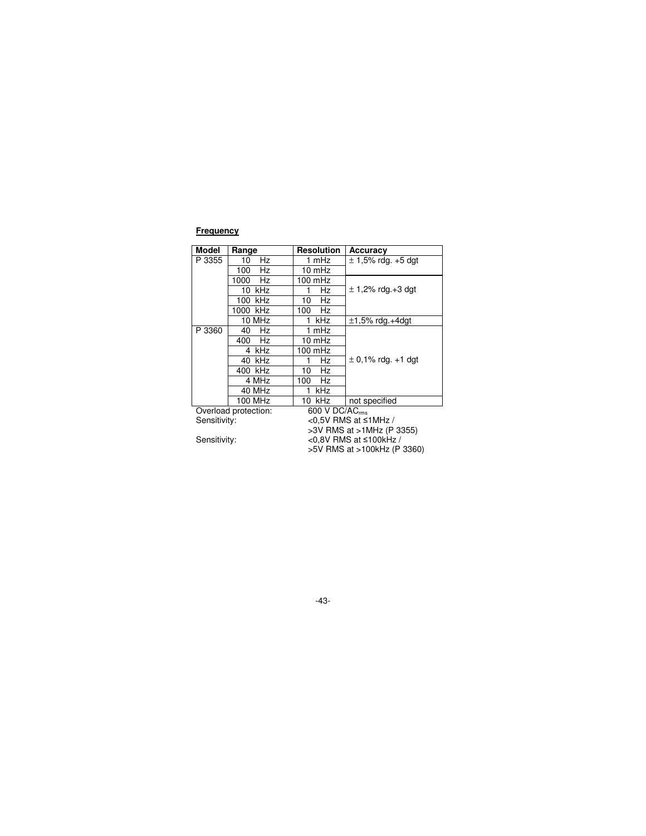# **Frequency**

| <b>Model</b> | Range                | <b>Resolution</b>            | Accuracy                    |
|--------------|----------------------|------------------------------|-----------------------------|
| P 3355       | Hz<br>10             | 1 mHz                        | $\pm$ 1,5% rdg. +5 dgt      |
|              | Hz<br>100            | 10 mHz                       |                             |
|              | Hz<br>1000           | $100$ mHz                    |                             |
|              | $10$ kHz             | Hz                           | $\pm$ 1,2% rdg.+3 dgt       |
|              | 100 kHz              | Hz<br>10                     |                             |
|              | 1000 kHz             | Hz<br>100                    |                             |
|              | 10 MHz               | kHz<br>1                     | $\pm$ 1,5% rdg.+4dgt        |
| P 3360       | Hz<br>40             | 1 mHz                        |                             |
|              | Hz<br>400            | $10 \text{ mHz}$             |                             |
|              | 4 kHz                | $100$ mHz                    |                             |
|              | 40 kHz               | Hz<br>1                      | $\pm$ 0,1% rdg. +1 dgt      |
|              | 400 kHz              | 10<br>Hz                     |                             |
|              | 4 MHz                | Hz<br>100                    |                             |
|              | 40 MHz               | kHz<br>1                     |                             |
|              | 100 MHz              | 10 kHz                       | not specified               |
|              | Overload protection: | 600 V DC/AC <sub>rms</sub>   |                             |
| Sensitivity: |                      | <0.5V RMS at ≤1MHz /         |                             |
|              |                      | >3V RMS at >1MHz (P 3355)    |                             |
| Sensitivity: |                      | <0.8V RMS at $\leq$ 100kHz / |                             |
|              |                      |                              | >5V RMS at >100kHz (P 3360) |

-43-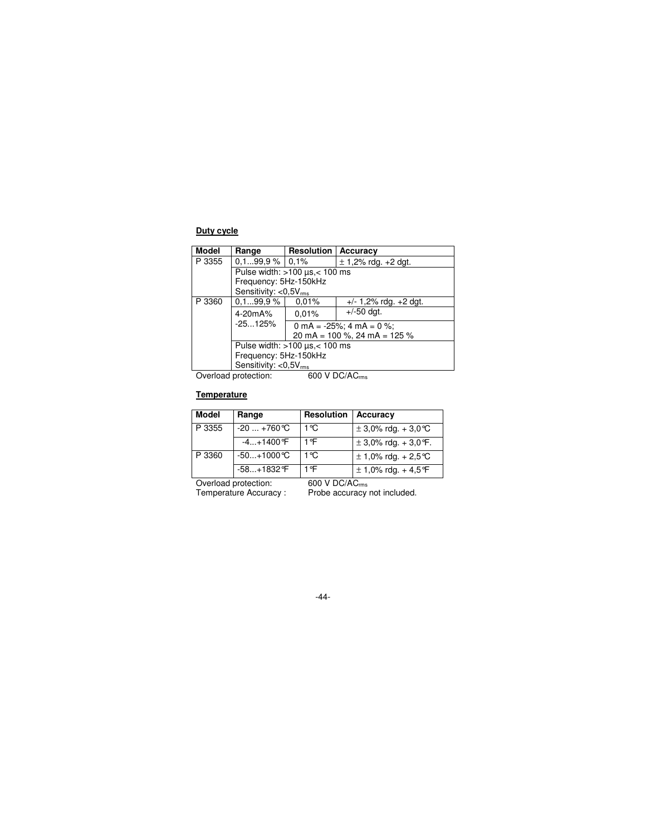# **Duty cycle**

| <b>Model</b> | Range                                      | <b>Resolution</b>                | Accuracy                     |  |
|--------------|--------------------------------------------|----------------------------------|------------------------------|--|
| P 3355       | $0.199.9\%$ 0.1%                           |                                  | $\pm$ 1,2% rdg. +2 dgt.      |  |
|              |                                            | Pulse width: $>100$ us, < 100 ms |                              |  |
|              | Frequency: 5Hz-150kHz                      |                                  |                              |  |
|              | Sensitivity: $<$ 0,5 $V_{rms}$             |                                  |                              |  |
| P 3360       | 0.199.9%                                   | 0,01%                            | $+/- 1,2\%$ rdg. $+2$ dgt.   |  |
|              | 4-20mA%                                    | 0.01%                            | $+/-50$ dat.                 |  |
|              | $-25125%$                                  |                                  | 0 mA = $-25\%$ ; 4 mA = 0 %; |  |
|              |                                            | 20 mA = $100$ %, 24 mA = $125$ % |                              |  |
|              | Pulse width: $>100 \mu s < 100 \text{ ms}$ |                                  |                              |  |
|              | Frequency: 5Hz-150kHz                      |                                  |                              |  |
|              | Sensitivity: $<$ 0,5 $V_{rms}$             |                                  |                              |  |

Overload protection:  $600 \text{ V DC/AC}_{\text{rms}}$ 

# **Temperature**

| <b>Model</b> | Range         | Resolution | Accuracy                  |
|--------------|---------------|------------|---------------------------|
| P 3355       | $-20+760$ °C  | 1 °C       | $\pm$ 3,0% rdg. + 3,0 °C  |
|              | $-4+1400$ °F  | 1 ºF       | $\pm$ 3,0% rdg. + 3,0 °F. |
| P 3360       | $-50+1000$ °C | 1 °C       | $± 1,0\%$ rdg. + 2,5 °C   |
|              | $-58+1832$ °F | 1 ºF       | $\pm$ 1,0% rdg. + 4,5 °F  |

Overload protection:<br>Temperature Accuracy :

600 V DC/AC<sub>ms</sub><br>Probe accuracy not included.

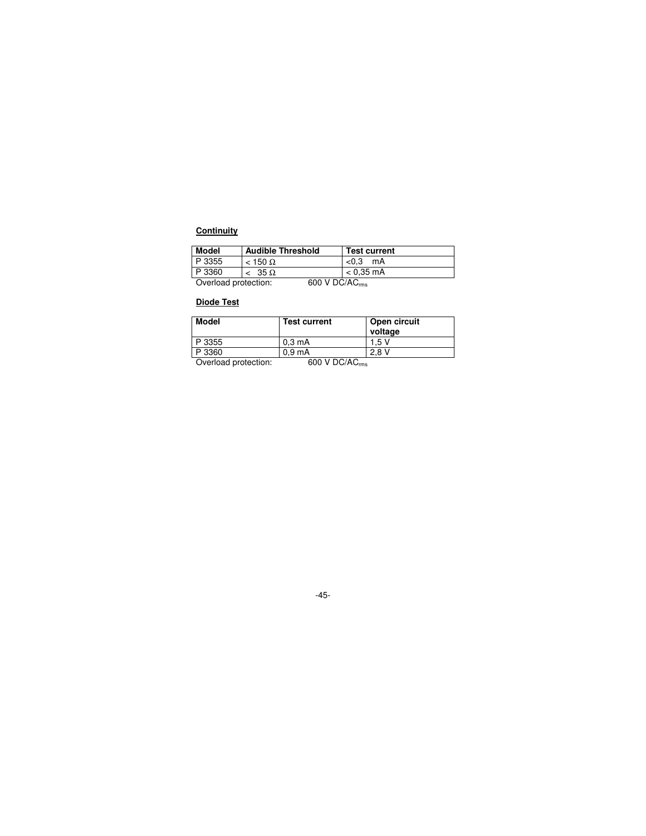# **Continuity**

| <b>Model</b>         | <b>Audible Threshold</b>             | <b>Test current</b> |
|----------------------|--------------------------------------|---------------------|
| P 3355               | $<$ 150 $\Omega$                     | < 0.3<br>mA         |
| P 3360               | $< 35 \Omega$                        | $< 0.35 \text{ mA}$ |
| Overload protection: | $600 \text{ V}$ DC/AC <sub>rms</sub> |                     |

# **Diode Test**

| <b>Model</b>         | <b>Test current</b>        | Open circuit<br>voltage |
|----------------------|----------------------------|-------------------------|
| P 3355               | $0.3 \text{ mA}$           | 1.5 V                   |
| P 3360               | 0.9 <sub>m</sub> A         | 2.8V                    |
| Overload protection: | 600 V DC/AC <sub>rms</sub> |                         |

-45-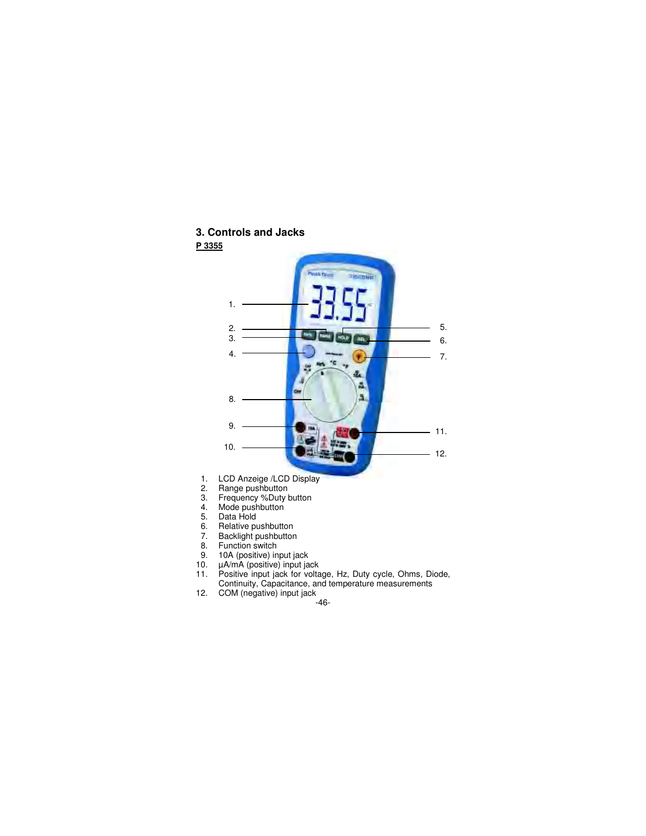# **3. Controls and Jacks**



- 10. µA/mA (positive) input jack
- 11. Positive input jack for voltage, Hz, Duty cycle, Ohms, Diode, Continuity, Capacitance, and temperature measurements
- 12. COM (negative) input jack

-46-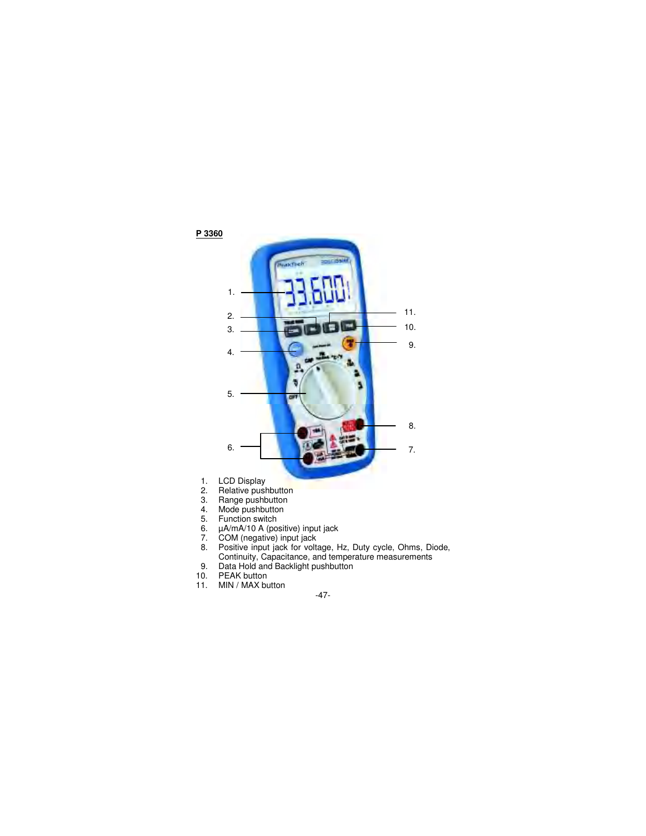

- 5. Function switch
- 6. µA/mA/10 A (positive) input jack
- 7. COM (negative) input jack
- 8. Positive input jack for voltage, Hz, Duty cycle, Ohms, Diode,
- Continuity, Capacitance, and temperature measurements
- 9. Data Hold and Backlight pushbutton
- 10. PEAK button
- 11. MIN / MAX button
- -47-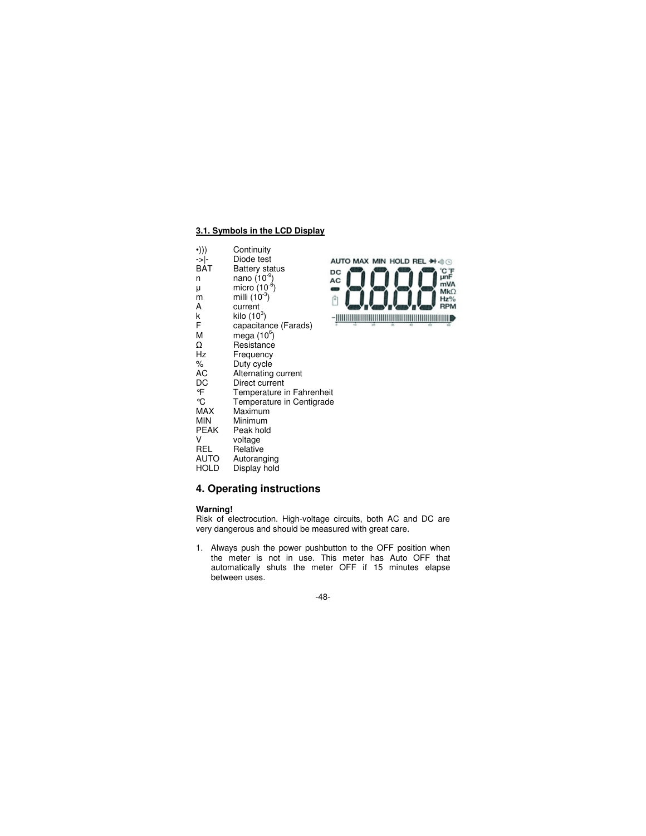## **3.1. Symbols in the LCD Display**

- •))) Continuity<br>->|- Diode test
- ->|- Diode test<br>BAT Battery sta
- $BAT$  Battery status<br>n nano (10<sup>-9</sup>) n **nano** (10<sup>-9</sup>)
	- micro  $(10^{-6})$
- $^{\mu}_{\rm m}$
- m milli  $(10^{-3})$ <br>A current
- k kilo  $(10^3)$
- A current<br>
k kilo (10<sup>5</sup><br>
F capacita  $F$  capacitance (Farads)<br>M mega (10<sup>6</sup>)
- M mega  $(10^6)$
- 
- $\Omega$  Resistance<br>
Hz Frequency
- Hz Frequency<br>% Duty cycle
- % Duty cycle<br>AC Alternating
- AC Alternating current<br>DC Direct current
- DC Direct current<br>  ${}^{\circ}\text{F}$  Temperature is
- °F Temperature in Fahrenheit<br>°C Temperature in Centigrade °C Temperature in Centigrade<br>MAX Maximum
- 
- MAX Maximum<br>MIN Minimum
- MIN Minimum<br>PEAK Peak hold
- PEAK Peak hold
- V voltage<br>REL Relative
- REL Relative<br>AUTO Autorang
- AUTO Autoranging<br>HOLD Display hold Display hold

# **4. Operating instructions**

#### **Warning!**

Risk of electrocution. High-voltage circuits, both AC and DC are very dangerous and should be measured with great care.

AUTO MAX MIN HOLD REL + +

 $_{\rm DC}$ AC

 $\blacksquare$ 

û

CF<br>unF

mVA

 $Mk\Omega$ 

 $Hz$ % **RPM** 

1. Always push the power pushbutton to the OFF position when the meter is not in use. This meter has Auto OFF that automatically shuts the meter OFF if 15 minutes elapse between uses.

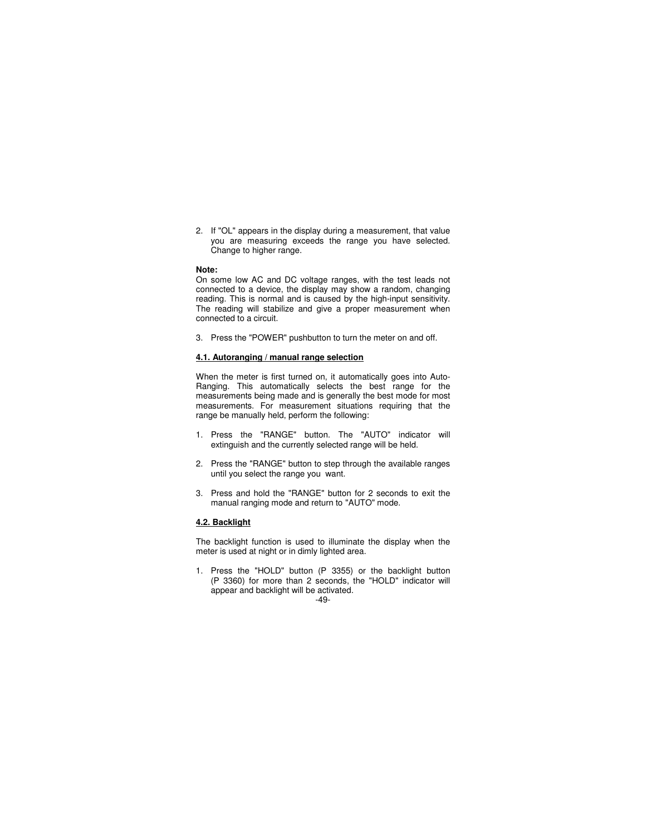2. If "OL" appears in the display during a measurement, that value you are measuring exceeds the range you have selected. Change to higher range.

#### **Note:**

On some low AC and DC voltage ranges, with the test leads not connected to a device, the display may show a random, changing reading. This is normal and is caused by the high-input sensitivity. The reading will stabilize and give a proper measurement when connected to a circuit.

3. Press the "POWER" pushbutton to turn the meter on and off.

### **4.1. Autoranging / manual range selection**

When the meter is first turned on, it automatically goes into Auto-Ranging. This automatically selects the best range for the measurements being made and is generally the best mode for most measurements. For measurement situations requiring that the range be manually held, perform the following:

- 1. Press the "RANGE" button. The "AUTO" indicator will extinguish and the currently selected range will be held.
- 2. Press the "RANGE" button to step through the available ranges until you select the range you want.
- 3. Press and hold the "RANGE" button for 2 seconds to exit the manual ranging mode and return to "AUTO" mode.

## **4.2. Backlight**

The backlight function is used to illuminate the display when the meter is used at night or in dimly lighted area.

1. Press the "HOLD" button (P 3355) or the backlight button (P 3360) for more than 2 seconds, the "HOLD" indicator will appear and backlight will be activated.

#### -49-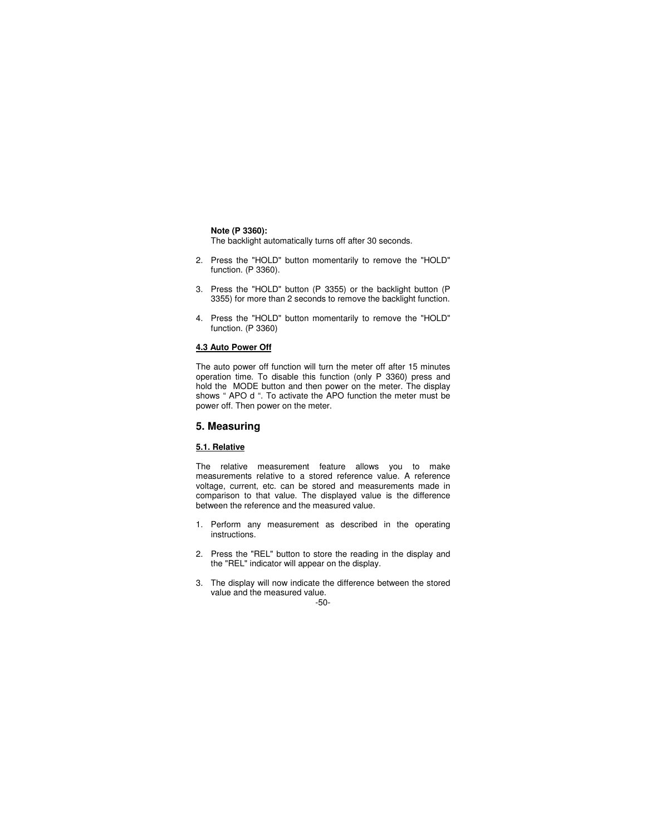**Note (P 3360):** 

The backlight automatically turns off after 30 seconds.

- 2. Press the "HOLD" button momentarily to remove the "HOLD" function. (P 3360).
- 3. Press the "HOLD" button (P 3355) or the backlight button (P 3355) for more than 2 seconds to remove the backlight function.
- 4. Press the "HOLD" button momentarily to remove the "HOLD" function. (P 3360)

## **4.3 Auto Power Off**

The auto power off function will turn the meter off after 15 minutes operation time. To disable this function (only P 3360) press and hold the MODE button and then power on the meter. The display shows " APO d ". To activate the APO function the meter must be power off. Then power on the meter.

# **5. Measuring**

# **5.1. Relative**

The relative measurement feature allows you to make measurements relative to a stored reference value. A reference voltage, current, etc. can be stored and measurements made in comparison to that value. The displayed value is the difference between the reference and the measured value.

- 1. Perform any measurement as described in the operating instructions.
- 2. Press the "REL" button to store the reading in the display and the "REL" indicator will appear on the display.
- 3. The display will now indicate the difference between the stored value and the measured value.

# -50-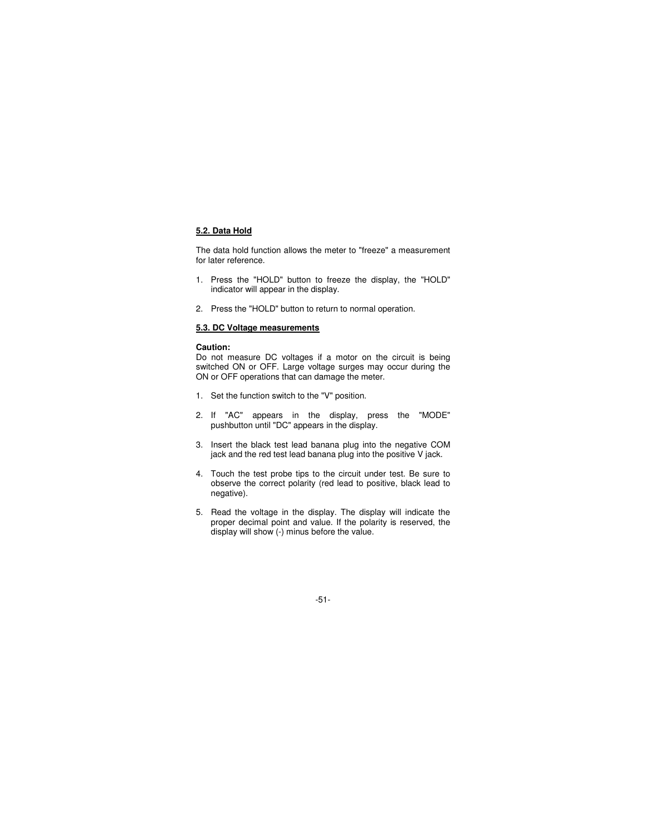## **5.2. Data Hold**

The data hold function allows the meter to "freeze" a measurement for later reference.

- 1. Press the "HOLD" button to freeze the display, the "HOLD" indicator will appear in the display.
- 2. Press the "HOLD" button to return to normal operation.

## **5.3. DC Voltage measurements**

#### **Caution:**

Do not measure DC voltages if a motor on the circuit is being switched ON or OFF. Large voltage surges may occur during the ON or OFF operations that can damage the meter.

- 1. Set the function switch to the "V" position.
- 2. If "AC" appears in the display, press the "MODE" pushbutton until "DC" appears in the display.
- 3. Insert the black test lead banana plug into the negative COM jack and the red test lead banana plug into the positive V jack.
- 4. Touch the test probe tips to the circuit under test. Be sure to observe the correct polarity (red lead to positive, black lead to negative).
- 5. Read the voltage in the display. The display will indicate the proper decimal point and value. If the polarity is reserved, the display will show (-) minus before the value.

-51-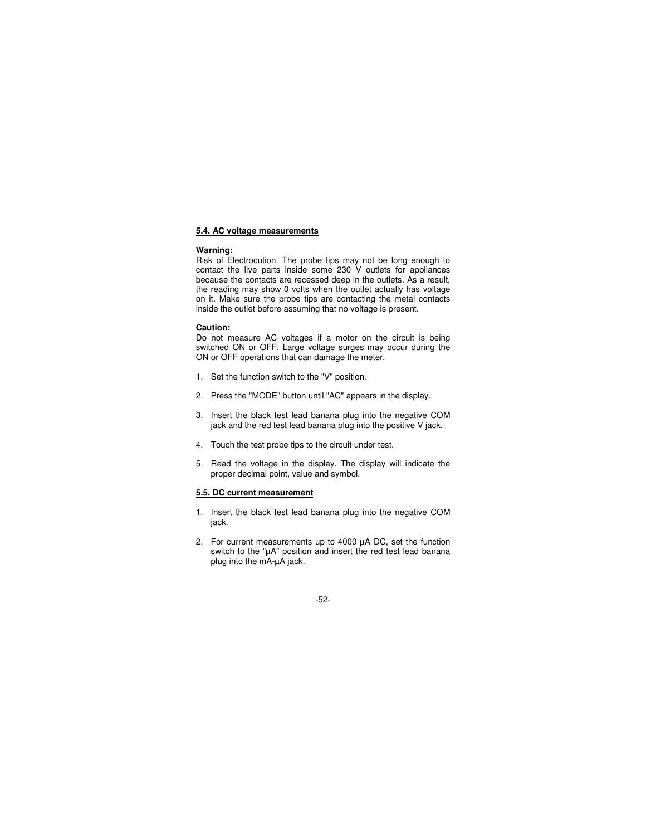#### **5.4. AC voltage measurements**

#### **Warning:**

Risk of Electrocution. The probe tips may not be long enough to contact the live parts inside some 230 V outlets for appliances because the contacts are recessed deep in the outlets. As a result, the reading may show 0 volts when the outlet actually has voltage on it. Make sure the probe tips are contacting the metal contacts inside the outlet before assuming that no voltage is present.

#### **Caution:**

Do not measure AC voltages if a motor on the circuit is being switched ON or OFF. Large voltage surges may occur during the ON or OFF operations that can damage the meter.

- 1. Set the function switch to the "V" position.
- 2. Press the "MODE" button until "AC" appears in the display.
- 3. Insert the black test lead banana plug into the negative COM jack and the red test lead banana plug into the positive V jack.
- 4. Touch the test probe tips to the circuit under test.
- 5. Read the voltage in the display. The display will indicate the proper decimal point, value and symbol.

## **5.5. DC current measurement**

- 1. Insert the black test lead banana plug into the negative COM jack.
- 2. For current measurements up to 4000 µA DC, set the function switch to the "µA" position and insert the red test lead banana plug into the mA-µA jack.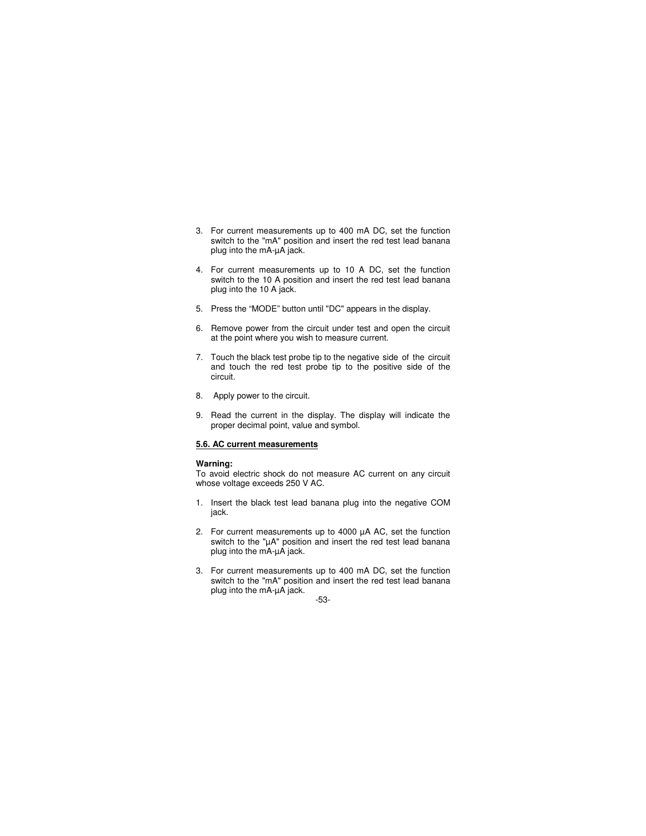- 3. For current measurements up to 400 mA DC, set the function switch to the "mA" position and insert the red test lead banana plug into the mA-µA jack.
- 4. For current measurements up to 10 A DC, set the function switch to the 10 A position and insert the red test lead banana plug into the 10 A jack.
- 5. Press the "MODE" button until "DC" appears in the display.
- 6. Remove power from the circuit under test and open the circuit at the point where you wish to measure current.
- 7. Touch the black test probe tip to the negative side of the circuit and touch the red test probe tip to the positive side of the circuit.
- 8. Apply power to the circuit.
- 9. Read the current in the display. The display will indicate the proper decimal point, value and symbol.

#### **5.6. AC current measurements**

#### **Warning:**

To avoid electric shock do not measure AC current on any circuit whose voltage exceeds 250 V AC.

- 1. Insert the black test lead banana plug into the negative COM jack.
- 2. For current measurements up to 4000 µA AC, set the function switch to the "µA" position and insert the red test lead banana plug into the mA-µA jack.
- 3. For current measurements up to 400 mA DC, set the function switch to the "mA" position and insert the red test lead banana plug into the mA-µA jack.

## -53-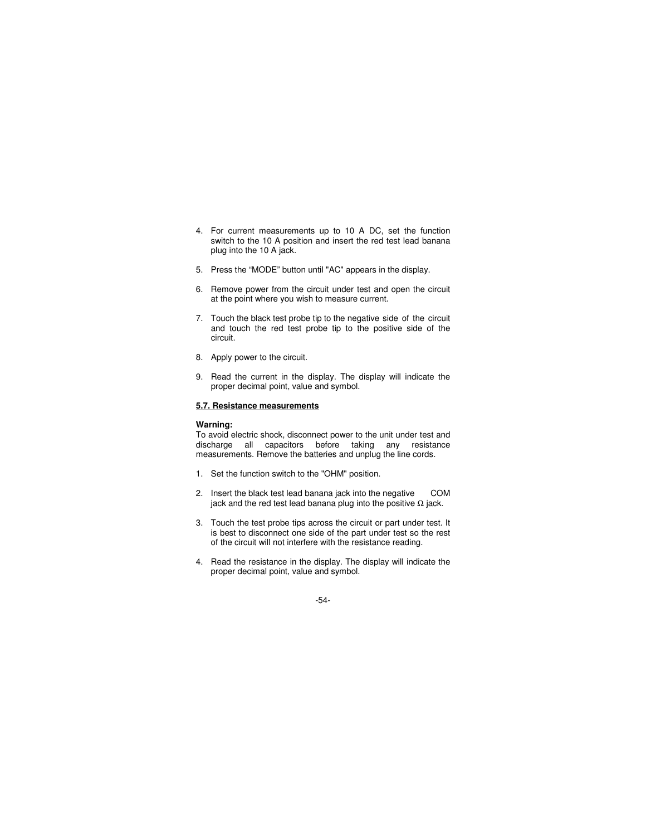- 4. For current measurements up to 10 A DC, set the function switch to the 10 A position and insert the red test lead banana plug into the 10 A jack.
- 5. Press the "MODE" button until "AC" appears in the display.
- 6. Remove power from the circuit under test and open the circuit at the point where you wish to measure current.
- 7. Touch the black test probe tip to the negative side of the circuit and touch the red test probe tip to the positive side of the circuit.
- 8. Apply power to the circuit.
- 9. Read the current in the display. The display will indicate the proper decimal point, value and symbol.

## **5.7. Resistance measurements**

#### **Warning:**

To avoid electric shock, disconnect power to the unit under test and discharge all capacitors before taking any resistance measurements. Remove the batteries and unplug the line cords.

- 1. Set the function switch to the "OHM" position.
- 2. Insert the black test lead banana jack into the negative COM jack and the red test lead banana plug into the positive  $\Omega$  jack.
- 3. Touch the test probe tips across the circuit or part under test. It is best to disconnect one side of the part under test so the rest of the circuit will not interfere with the resistance reading.
- 4. Read the resistance in the display. The display will indicate the proper decimal point, value and symbol.

### -54-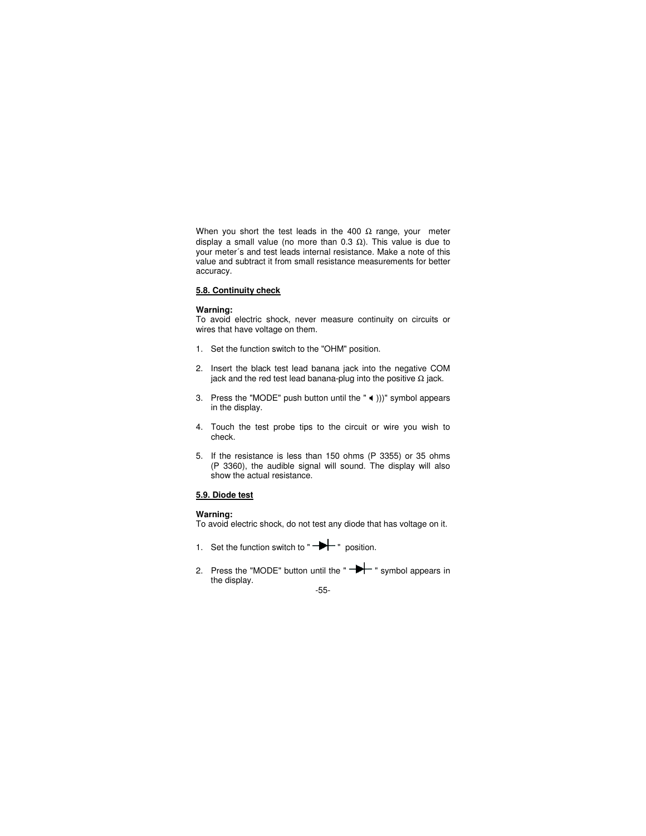When you short the test leads in the 400  $\Omega$  range, your meter display a small value (no more than 0.3  $Ω$ ). This value is due to your meter´s and test leads internal resistance. Make a note of this value and subtract it from small resistance measurements for better accuracy.

# **5.8. Continuity check**

#### **Warning:**

To avoid electric shock, never measure continuity on circuits or wires that have voltage on them.

- 1. Set the function switch to the "OHM" position.
- 2. Insert the black test lead banana jack into the negative COM jack and the red test lead banana-plug into the positive  $\Omega$  jack.
- 3. Press the "MODE" push button until the " $\blacktriangleleft$  )))" symbol appears in the display.
- 4. Touch the test probe tips to the circuit or wire you wish to check.
- 5. If the resistance is less than 150 ohms (P 3355) or 35 ohms (P 3360), the audible signal will sound. The display will also show the actual resistance.

#### **5.9. Diode test**

#### **Warning:**

To avoid electric shock, do not test any diode that has voltage on it.

- 1. Set the function switch to " $\rightarrow$  " position.
- 2. Press the "MODE" button until the  $\rightarrow$   $\rightarrow$  symbol appears in the display.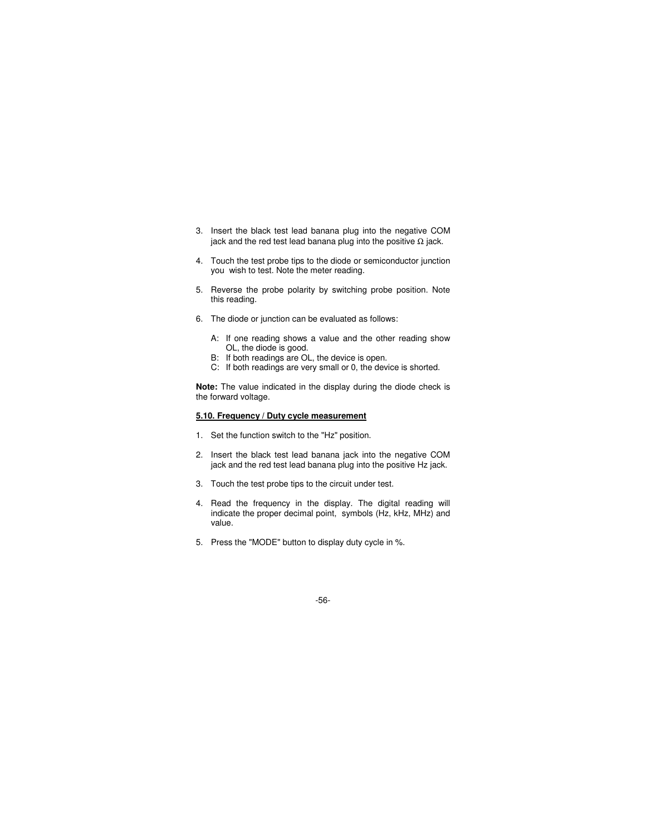- 3. Insert the black test lead banana plug into the negative COM jack and the red test lead banana plug into the positive  $\Omega$  jack.
- 4. Touch the test probe tips to the diode or semiconductor junction you wish to test. Note the meter reading.
- 5. Reverse the probe polarity by switching probe position. Note this reading.
- 6. The diode or junction can be evaluated as follows:
	- A: If one reading shows a value and the other reading show OL, the diode is good.
	- B: If both readings are OL, the device is open.
	- C: If both readings are very small or 0, the device is shorted.

**Note:** The value indicated in the display during the diode check is the forward voltage.

## **5.10. Frequency / Duty cycle measurement**

- 1. Set the function switch to the "Hz" position.
- 2. Insert the black test lead banana jack into the negative COM jack and the red test lead banana plug into the positive Hz jack.
- 3. Touch the test probe tips to the circuit under test.
- 4. Read the frequency in the display. The digital reading will indicate the proper decimal point, symbols (Hz, kHz, MHz) and value.
- 5. Press the "MODE" button to display duty cycle in %.

-56-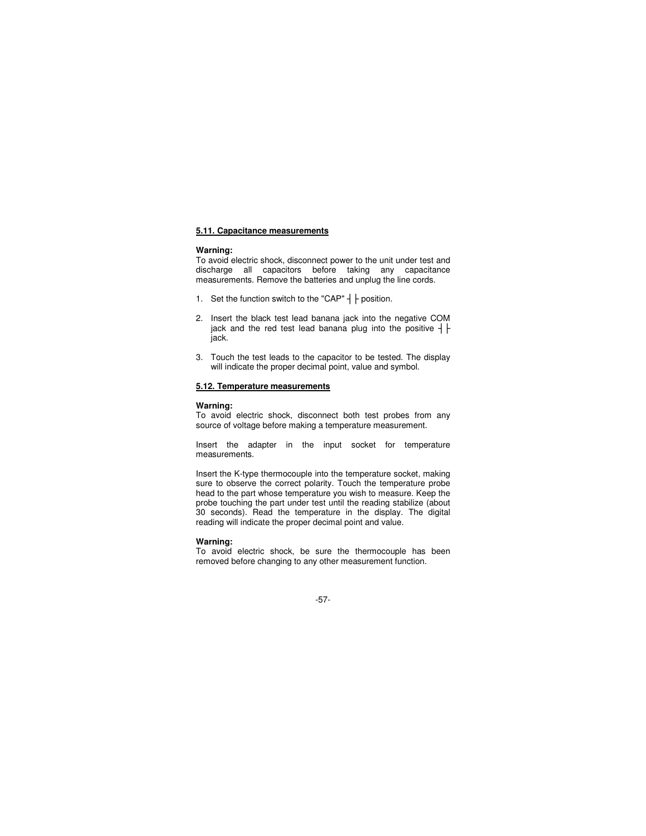#### **5.11. Capacitance measurements**

#### **Warning:**

To avoid electric shock, disconnect power to the unit under test and discharge all capacitors before taking any capacitance measurements. Remove the batteries and unplug the line cords.

- 1. Set the function switch to the "CAP"  $\frac{1}{1}$   $\frac{1}{1}$  position.
- 2. Insert the black test lead banana jack into the negative COM jack and the red test lead banana plug into the positive  $+$ jack.
- 3. Touch the test leads to the capacitor to be tested. The display will indicate the proper decimal point, value and symbol.

#### **5.12. Temperature measurements**

#### **Warning:**

To avoid electric shock, disconnect both test probes from any source of voltage before making a temperature measurement.

Insert the adapter in the input socket for temperature measurements.

Insert the K-type thermocouple into the temperature socket, making sure to observe the correct polarity. Touch the temperature probe head to the part whose temperature you wish to measure. Keep the probe touching the part under test until the reading stabilize (about 30 seconds). Read the temperature in the display. The digital reading will indicate the proper decimal point and value.

#### **Warning:**

To avoid electric shock, be sure the thermocouple has been removed before changing to any other measurement function.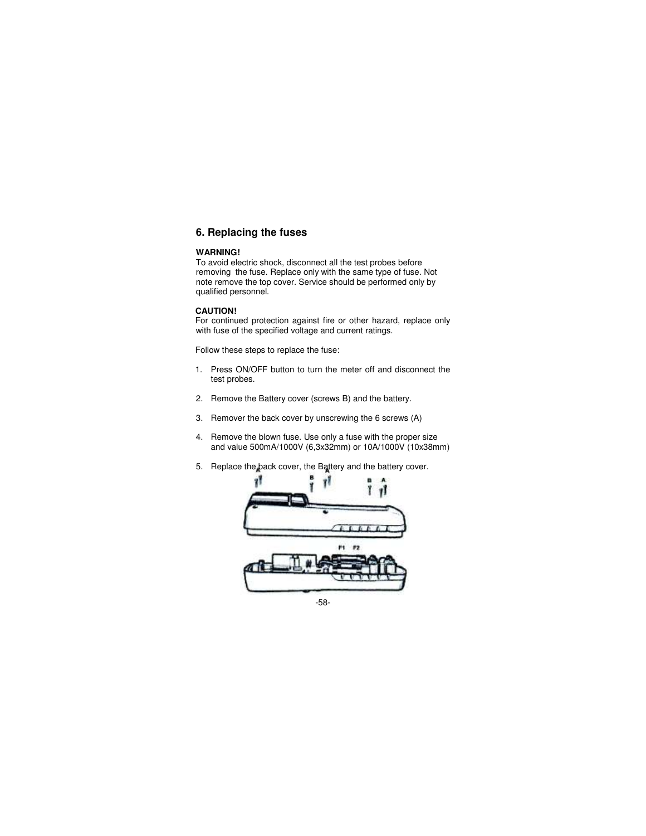# **6. Replacing the fuses**

### **WARNING!**

To avoid electric shock, disconnect all the test probes before removing the fuse. Replace only with the same type of fuse. Not note remove the top cover. Service should be performed only by qualified personnel.

## **CAUTION!**

For continued protection against fire or other hazard, replace only with fuse of the specified voltage and current ratings.

Follow these steps to replace the fuse:

- 1. Press ON/OFF button to turn the meter off and disconnect the test probes.
- 2. Remove the Battery cover (screws B) and the battery.
- 3. Remover the back cover by unscrewing the 6 screws (A)
- 4. Remove the blown fuse. Use only a fuse with the proper size and value 500mA/1000V (6,3x32mm) or 10A/1000V (10x38mm)
- 5. Replace the back cover, the Battery and the battery cover.



-58-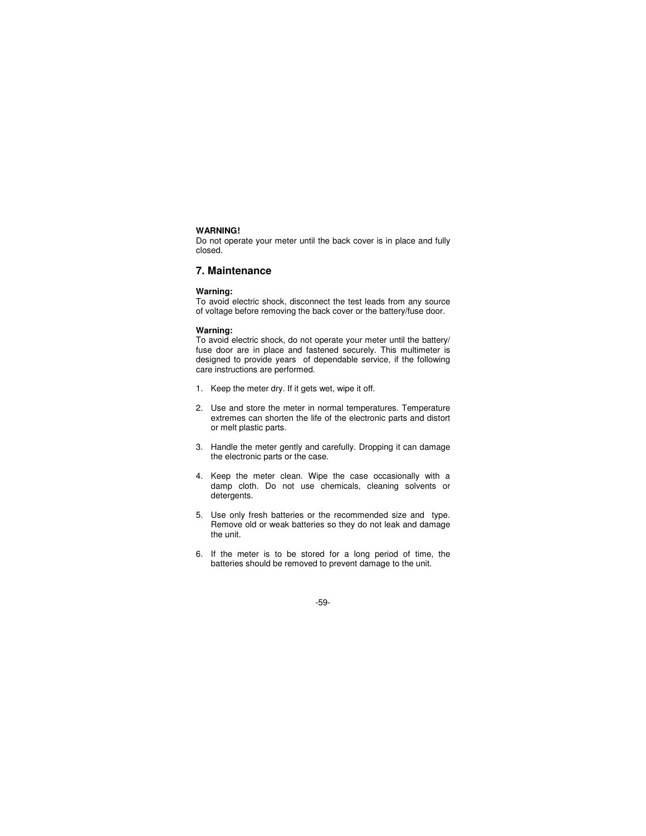#### **WARNING!**

Do not operate your meter until the back cover is in place and fully closed.

# **7. Maintenance**

#### **Warning:**

To avoid electric shock, disconnect the test leads from any source of voltage before removing the back cover or the battery/fuse door.

#### **Warning:**

To avoid electric shock, do not operate your meter until the battery/ fuse door are in place and fastened securely. This multimeter is designed to provide years of dependable service, if the following care instructions are performed.

- 1. Keep the meter dry. If it gets wet, wipe it off.
- 2. Use and store the meter in normal temperatures. Temperature extremes can shorten the life of the electronic parts and distort or melt plastic parts.
- 3. Handle the meter gently and carefully. Dropping it can damage the electronic parts or the case.
- 4. Keep the meter clean. Wipe the case occasionally with a damp cloth. Do not use chemicals, cleaning solvents or detergents.
- 5. Use only fresh batteries or the recommended size and type. Remove old or weak batteries so they do not leak and damage the unit.
- 6. If the meter is to be stored for a long period of time, the batteries should be removed to prevent damage to the unit.

### -59-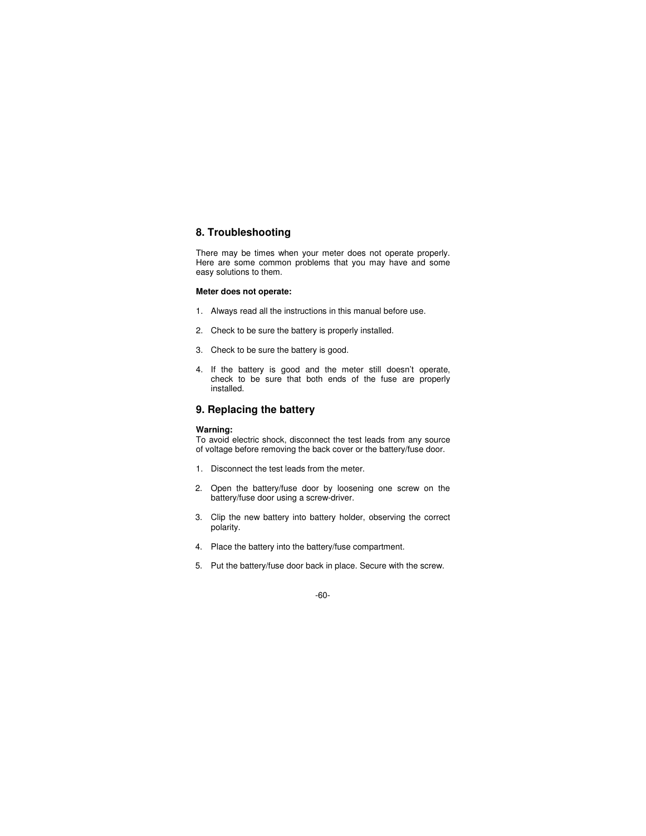# **8. Troubleshooting**

There may be times when your meter does not operate properly. Here are some common problems that you may have and some easy solutions to them.

### **Meter does not operate:**

- 1. Always read all the instructions in this manual before use.
- 2. Check to be sure the battery is properly installed.
- 3. Check to be sure the battery is good.
- 4. If the battery is good and the meter still doesn't operate, check to be sure that both ends of the fuse are properly installed.

# **9. Replacing the battery**

## **Warning:**

To avoid electric shock, disconnect the test leads from any source of voltage before removing the back cover or the battery/fuse door.

- 1. Disconnect the test leads from the meter.
- 2. Open the battery/fuse door by loosening one screw on the battery/fuse door using a screw-driver.
- 3. Clip the new battery into battery holder, observing the correct polarity.
- 4. Place the battery into the battery/fuse compartment.
- 5. Put the battery/fuse door back in place. Secure with the screw.

#### -60-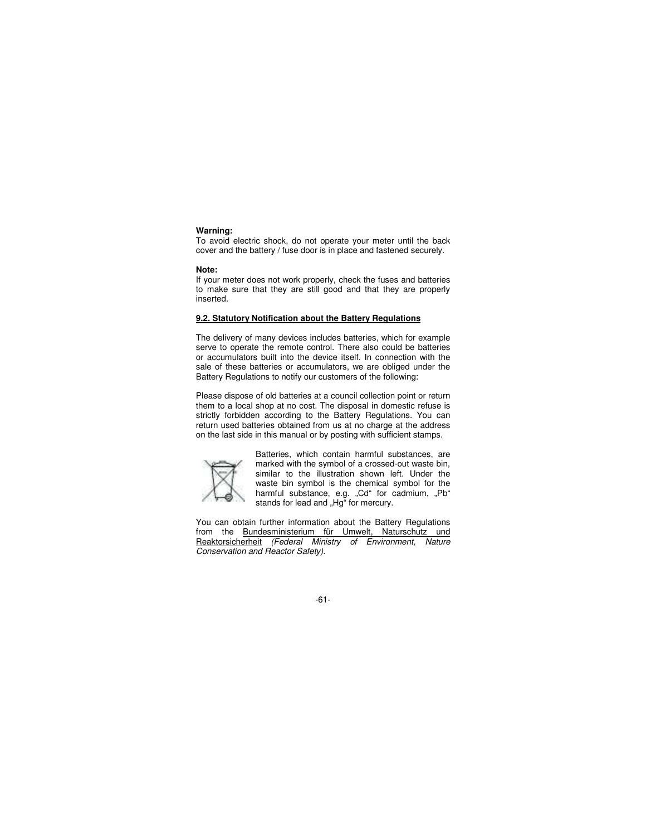#### **Warning:**

To avoid electric shock, do not operate your meter until the back cover and the battery / fuse door is in place and fastened securely.

#### **Note:**

If your meter does not work properly, check the fuses and batteries to make sure that they are still good and that they are properly inserted.

## **9.2. Statutory Notification about the Battery Regulations**

The delivery of many devices includes batteries, which for example serve to operate the remote control. There also could be batteries or accumulators built into the device itself. In connection with the sale of these batteries or accumulators, we are obliged under the Battery Regulations to notify our customers of the following:

Please dispose of old batteries at a council collection point or return them to a local shop at no cost. The disposal in domestic refuse is strictly forbidden according to the Battery Regulations. You can return used batteries obtained from us at no charge at the address on the last side in this manual or by posting with sufficient stamps.



Batteries, which contain harmful substances, are marked with the symbol of a crossed-out waste bin, similar to the illustration shown left. Under the waste bin symbol is the chemical symbol for the harmful substance, e.g. "Cd" for cadmium, "Pb" stands for lead and "Hg" for mercury.

You can obtain further information about the Battery Regulations from the Bundesministerium für Umwelt, Naturschutz und Reaktorsicherheit (Federal Ministry of Environment, Nature Conservation and Reactor Safety).

-61-